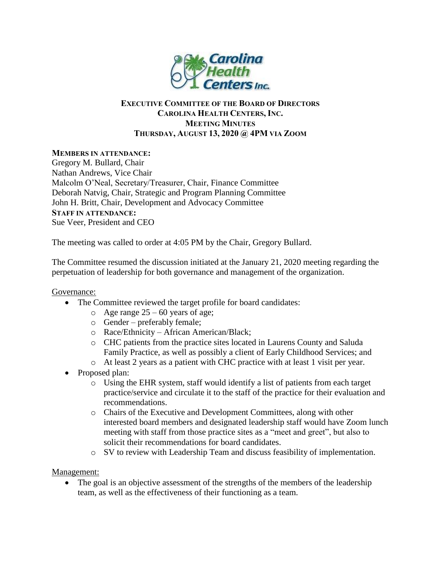

## **EXECUTIVE COMMITTEE OF THE BOARD OF DIRECTORS CAROLINA HEALTH CENTERS, INC. MEETING MINUTES THURSDAY, AUGUST 13, 2020 @ 4PM VIA ZOOM**

## **MEMBERS IN ATTENDANCE:**

Gregory M. Bullard, Chair Nathan Andrews, Vice Chair Malcolm O'Neal, Secretary/Treasurer, Chair, Finance Committee Deborah Natvig, Chair, Strategic and Program Planning Committee John H. Britt, Chair, Development and Advocacy Committee **STAFF IN ATTENDANCE:** Sue Veer, President and CEO

The meeting was called to order at 4:05 PM by the Chair, Gregory Bullard.

The Committee resumed the discussion initiated at the January 21, 2020 meeting regarding the perpetuation of leadership for both governance and management of the organization.

## Governance:

- The Committee reviewed the target profile for board candidates:
	- $\circ$  Age range 25 60 years of age;
	- o Gender preferably female;
	- o Race/Ethnicity African American/Black;
	- o CHC patients from the practice sites located in Laurens County and Saluda Family Practice, as well as possibly a client of Early Childhood Services; and
	- o At least 2 years as a patient with CHC practice with at least 1 visit per year.
- Proposed plan:
	- o Using the EHR system, staff would identify a list of patients from each target practice/service and circulate it to the staff of the practice for their evaluation and recommendations.
	- o Chairs of the Executive and Development Committees, along with other interested board members and designated leadership staff would have Zoom lunch meeting with staff from those practice sites as a "meet and greet", but also to solicit their recommendations for board candidates.
	- o SV to review with Leadership Team and discuss feasibility of implementation.

## Management:

• The goal is an objective assessment of the strengths of the members of the leadership team, as well as the effectiveness of their functioning as a team.